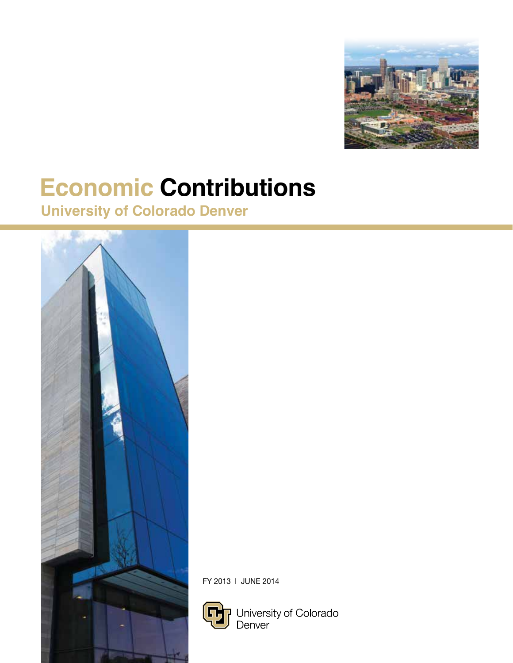

# **Economic Contributions**

## **University of Colorado Denver**



FY 2013 l JUNE 2014



University of Colorado<br>Denver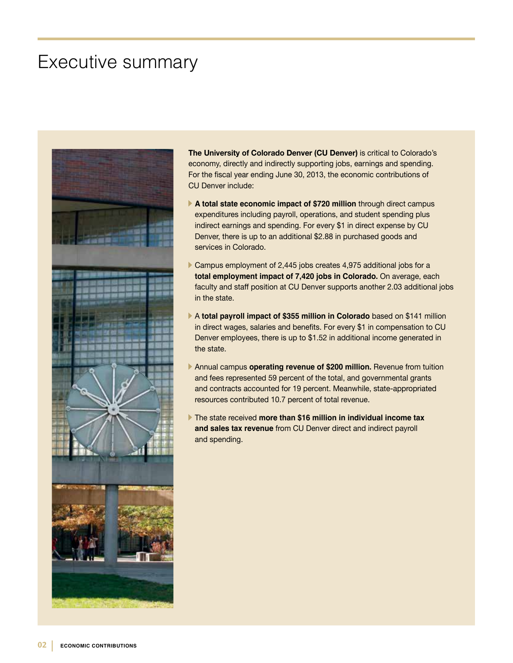### Executive summary



**The University of Colorado Denver (CU Denver)** is critical to Colorado's economy, directly and indirectly supporting jobs, earnings and spending. For the fiscal year ending June 30, 2013, the economic contributions of CU Denver include:

- **A total state economic impact of \$720 million** through direct campus expenditures including payroll, operations, and student spending plus indirect earnings and spending. For every \$1 in direct expense by CU Denver, there is up to an additional \$2.88 in purchased goods and services in Colorado.
- Campus employment of 2,445 jobs creates 4,975 additional jobs for a **total employment impact of 7,420 jobs in Colorado.** On average, each faculty and staff position at CU Denver supports another 2.03 additional jobs in the state.
- A **total payroll impact of \$355 million in Colorado** based on \$141 million in direct wages, salaries and benefits. For every \$1 in compensation to CU Denver employees, there is up to \$1.52 in additional income generated in the state.
- Annual campus **operating revenue of \$200 million.** Revenue from tuition and fees represented 59 percent of the total, and governmental grants and contracts accounted for 19 percent. Meanwhile, state-appropriated resources contributed 10.7 percent of total revenue.
- The state received **more than \$16 million in individual income tax and sales tax revenue** from CU Denver direct and indirect payroll and spending.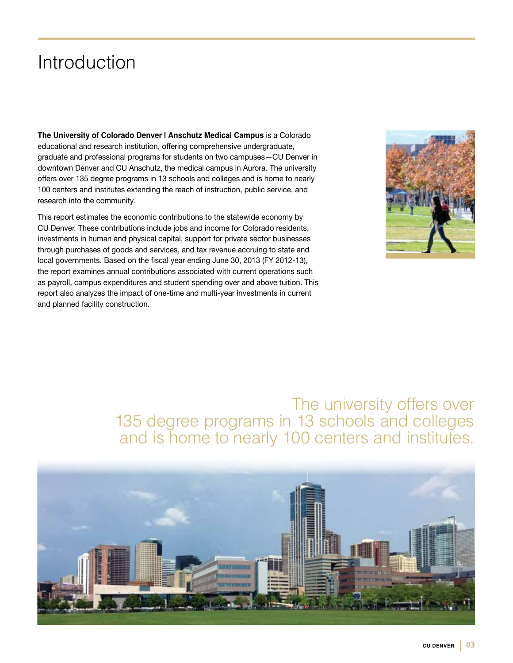## Introduction

**The University of Colorado Denver | Anschutz Medical Campus** is a Colorado educational and research institution, offering comprehensive undergraduate, graduate and professional programs for students on two campuses—CU Denver in downtown Denver and CU Anschutz, the medical campus in Aurora. The university offers over 135 degree programs in 13 schools and colleges and is home to nearly 100 centers and institutes extending the reach of instruction, public service, and research into the community.

This report estimates the economic contributions to the statewide economy by CU Denver. These contributions include jobs and income for Colorado residents, investments in human and physical capital, support for private sector businesses through purchases of goods and services, and tax revenue accruing to state and local governments. Based on the fiscal year ending June 30, 2013 (FY 2012-13), the report examines annual contributions associated with current operations such as payroll, campus expenditures and student spending over and above tuition. This report also analyzes the impact of one-time and multi-year investments in current and planned facility construction.



### The university offers over 135 degree programs in 13 schools and colleges and is home to nearly 100 centers and institutes.

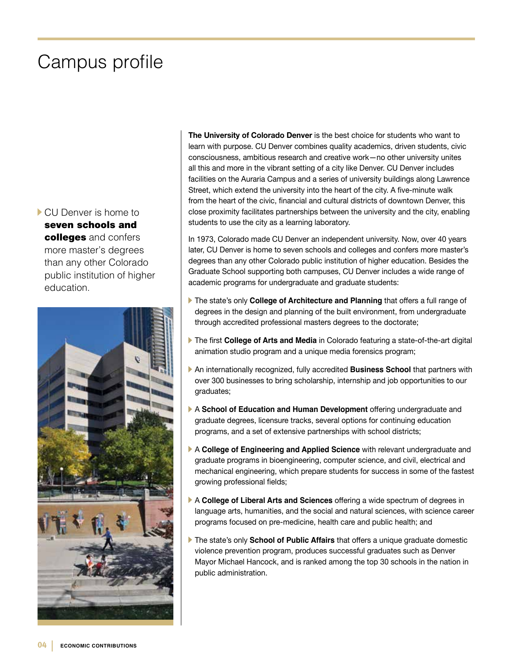## Campus profile

CU Denver is home to seven schools and colleges and confers more master's degrees than any other Colorado public institution of higher education.



**The University of Colorado Denver** is the best choice for students who want to learn with purpose. CU Denver combines quality academics, driven students, civic consciousness, ambitious research and creative work—no other university unites all this and more in the vibrant setting of a city like Denver. CU Denver includes facilities on the Auraria Campus and a series of university buildings along Lawrence Street, which extend the university into the heart of the city. A five-minute walk from the heart of the civic, financial and cultural districts of downtown Denver, this close proximity facilitates partnerships between the university and the city, enabling students to use the city as a learning laboratory.

In 1973, Colorado made CU Denver an independent university. Now, over 40 years later, CU Denver is home to seven schools and colleges and confers more master's degrees than any other Colorado public institution of higher education. Besides the Graduate School supporting both campuses, CU Denver includes a wide range of academic programs for undergraduate and graduate students:

- The state's only **College of Architecture and Planning** that offers a full range of degrees in the design and planning of the built environment, from undergraduate through accredited professional masters degrees to the doctorate;
- The first **College of Arts and Media** in Colorado featuring a state-of-the-art digital animation studio program and a unique media forensics program;
- An internationally recognized, fully accredited **Business School** that partners with over 300 businesses to bring scholarship, internship and job opportunities to our graduates;
- A **School of Education and Human Development** offering undergraduate and graduate degrees, licensure tracks, several options for continuing education programs, and a set of extensive partnerships with school districts;
- A **College of Engineering and Applied Science** with relevant undergraduate and graduate programs in bioengineering, computer science, and civil, electrical and mechanical engineering, which prepare students for success in some of the fastest growing professional fields;
- A **College of Liberal Arts and Sciences** offering a wide spectrum of degrees in language arts, humanities, and the social and natural sciences, with science career programs focused on pre-medicine, health care and public health; and
- The state's only **School of Public Affairs** that offers a unique graduate domestic violence prevention program, produces successful graduates such as Denver Mayor Michael Hancock, and is ranked among the top 30 schools in the nation in public administration.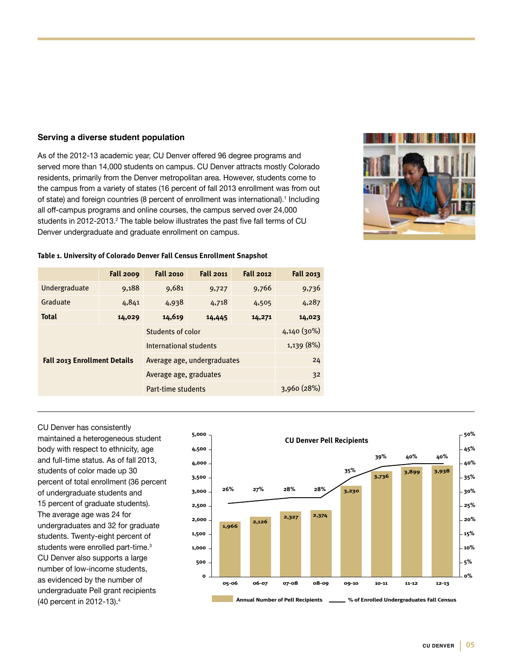#### **Serving a diverse student population**

As of the 2012-13 academic year, CU Denver offered 96 degree programs and served more than 14,000 students on campus. CU Denver attracts mostly Colorado residents, primarily from the Denver metropolitan area. However, students come to the campus from a variety of states (16 percent of fall 2013 enrollment was from out of state) and foreign countries (8 percent of enrollment was international).<sup>1</sup> Including all off-campus programs and online courses, the campus served over 24,000 students in 2012-2013. $^{\rm 2}$  The table below illustrates the past five fall terms of CU Denver undergraduate and graduate enrollment on campus.



#### **Table 1. University of Colorado Denver Fall Census Enrollment Snapshot**

|                                     | <b>Fall 2009</b> | <b>Fall 2010</b>            | <b>Fall 2011</b> | <b>Fall 2012</b> | <b>Fall 2013</b> |
|-------------------------------------|------------------|-----------------------------|------------------|------------------|------------------|
| Undergraduate                       | 9,188            | 9,681                       | 9,727            | 9,766            | 9,736            |
| Graduate                            | 4,841            | 4,938                       | 4,718            | 4,505            | 4,287            |
| <b>Total</b>                        | 14,029           | 14,619                      | 14,445           | 14,271           | 14,023           |
| <b>Fall 2013 Enrollment Details</b> |                  | Students of color           |                  |                  | 4,140(30%)       |
|                                     |                  | International students      | 1,139 (8%)       |                  |                  |
|                                     |                  | Average age, undergraduates | 24               |                  |                  |
|                                     |                  | Average age, graduates      |                  |                  | 32               |
|                                     |                  | Part-time students          |                  |                  | 3,960(28%)       |

CU Denver has consistently maintained a heterogeneous student body with respect to ethnicity, age and full-time status. As of fall 2013, students of color made up 30 percent of total enrollment (36 percent of undergraduate students and 15 percent of graduate students). The average age was 24 for undergraduates and 32 for graduate students. Twenty-eight percent of students were enrolled part-time.<sup>3</sup> CU Denver also supports a large number of low-income students, as evidenced by the number of undergraduate Pell grant recipients (40 percent in 2012-13).<sup>4</sup>

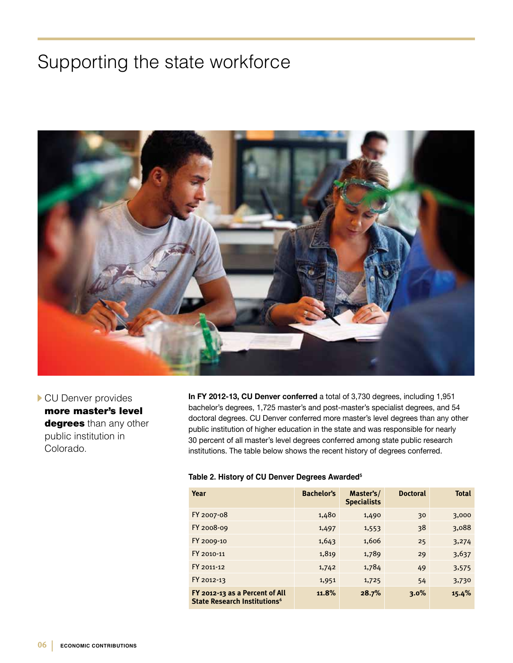## Supporting the state workforce

![](_page_5_Picture_1.jpeg)

CU Denver provides more master's level degrees than any other public institution in Colorado.

**In FY 2012-13, CU Denver conferred** a total of 3,730 degrees, including 1,951 bachelor's degrees, 1,725 master's and post-master's specialist degrees, and 54 doctoral degrees. CU Denver conferred more master's level degrees than any other public institution of higher education in the state and was responsible for nearly 30 percent of all master's level degrees conferred among state public research institutions. The table below shows the recent history of degrees conferred.

#### **Table 2. History of CU Denver Degrees Awarded5**

| Year                                                                       | <b>Bachelor's</b> | Master's/<br><b>Specialists</b> | <b>Doctoral</b> | <b>Total</b> |
|----------------------------------------------------------------------------|-------------------|---------------------------------|-----------------|--------------|
| FY 2007-08                                                                 | 1,480             | 1,490                           | 30              | 3,000        |
| FY 2008-09                                                                 | 1,497             | 1,553                           | 38              | 3,088        |
| FY 2009-10                                                                 | 1,643             | 1,606                           | 25              | 3,274        |
| FY 2010-11                                                                 | 1,819             | 1,789                           | 29              | 3,637        |
| FY 2011-12                                                                 | 1,742             | 1,784                           | 49              | 3,575        |
| FY 2012-13                                                                 | 1,951             | 1,725                           | 54              | 3,730        |
| FY 2012-13 as a Percent of All<br>State Research Institutions <sup>6</sup> | 11.8%             | 28.7%                           | $3.0\%$         | 15.4%        |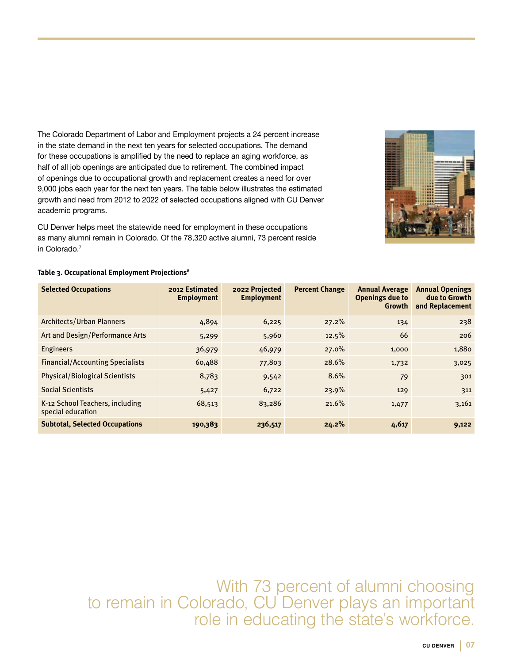The Colorado Department of Labor and Employment projects a 24 percent increase in the state demand in the next ten years for selected occupations. The demand for these occupations is amplified by the need to replace an aging workforce, as half of all job openings are anticipated due to retirement. The combined impact of openings due to occupational growth and replacement creates a need for over 9,000 jobs each year for the next ten years. The table below illustrates the estimated growth and need from 2012 to 2022 of selected occupations aligned with CU Denver academic programs.

CU Denver helps meet the statewide need for employment in these occupations as many alumni remain in Colorado. Of the 78,320 active alumni, 73 percent reside in Colorado.<sup>7</sup>

![](_page_6_Picture_2.jpeg)

#### **Table 3. Occupational Employment Projections8**

| <b>Selected Occupations</b>                          | 2012 Estimated<br><b>Employment</b> | 2022 Projected<br><b>Employment</b> | <b>Percent Change</b> | <b>Annual Average</b><br>Openings due to<br>Growth | <b>Annual Openings</b><br>due to Growth<br>and Replacement |
|------------------------------------------------------|-------------------------------------|-------------------------------------|-----------------------|----------------------------------------------------|------------------------------------------------------------|
| Architects/Urban Planners                            | 4,894                               | 6,225                               | 27.2%                 | 134                                                | 238                                                        |
| Art and Design/Performance Arts                      | 5,299                               | 5,960                               | 12.5%                 | 66                                                 | 206                                                        |
| <b>Engineers</b>                                     | 36,979                              | 46,979                              | $27.0\%$              | 1,000                                              | 1,880                                                      |
| <b>Financial/Accounting Specialists</b>              | 60,488                              | 77,803                              | 28.6%                 | 1,732                                              | 3,025                                                      |
| <b>Physical/Biological Scientists</b>                | 8,783                               | 9,542                               | 8.6%                  | 79                                                 | 301                                                        |
| <b>Social Scientists</b>                             | 5,427                               | 6,722                               | 23.9%                 | 129                                                | 311                                                        |
| K-12 School Teachers, including<br>special education | 68,513                              | 83,286                              | 21.6%                 | 1,477                                              | 3,161                                                      |
| <b>Subtotal, Selected Occupations</b>                | 190,383                             | 236,517                             | 24.2%                 | 4,617                                              | 9,122                                                      |

With 73 percent of alumni choosing to remain in Colorado, CU Denver plays an important role in educating the state's workforce.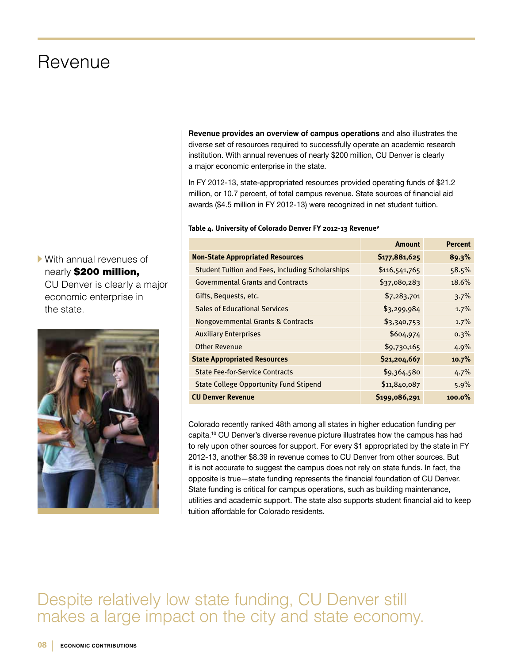### Revenue

With annual revenues of nearly \$200 million, CU Denver is clearly a major economic enterprise in the state.

![](_page_7_Picture_2.jpeg)

**Revenue provides an overview of campus operations** and also illustrates the diverse set of resources required to successfully operate an academic research institution. With annual revenues of nearly \$200 million, CU Denver is clearly a major economic enterprise in the state.

In FY 2012-13, state-appropriated resources provided operating funds of \$21.2 million, or 10.7 percent, of total campus revenue. State sources of financial aid awards (\$4.5 million in FY 2012-13) were recognized in net student tuition.

#### **Table 4. University of Colorado Denver FY 2012-13 Revenue9**

|                                                         | <b>Amount</b> | <b>Percent</b> |
|---------------------------------------------------------|---------------|----------------|
| <b>Non-State Appropriated Resources</b>                 | \$177,881,625 | 89.3%          |
| <b>Student Tuition and Fees, including Scholarships</b> | \$116,541,765 | 58.5%          |
| <b>Governmental Grants and Contracts</b>                | \$37,080,283  | 18.6%          |
| Gifts, Bequests, etc.                                   | \$7,283,701   | 3.7%           |
| <b>Sales of Educational Services</b>                    | \$3,299,984   | 1.7%           |
| Nongovernmental Grants & Contracts                      | \$3,340,753   | 1.7%           |
| <b>Auxiliary Enterprises</b>                            | \$604,974     | 0.3%           |
| <b>Other Revenue</b>                                    | \$9,730,165   | 4.9%           |
| <b>State Appropriated Resources</b>                     | \$21,204,667  | 10.7%          |
| <b>State Fee-for-Service Contracts</b>                  | \$9,364,580   | 4.7%           |
| <b>State College Opportunity Fund Stipend</b>           | \$11,840,087  | 5.9%           |
| <b>CU Denver Revenue</b>                                | \$199,086,291 | $100.0\%$      |

Colorado recently ranked 48th among all states in higher education funding per capita.10 CU Denver's diverse revenue picture illustrates how the campus has had to rely upon other sources for support. For every \$1 appropriated by the state in FY 2012-13, another \$8.39 in revenue comes to CU Denver from other sources. But it is not accurate to suggest the campus does not rely on state funds. In fact, the opposite is true—state funding represents the financial foundation of CU Denver. State funding is critical for campus operations, such as building maintenance, utilities and academic support. The state also supports student financial aid to keep tuition affordable for Colorado residents.

### Despite relatively low state funding, CU Denver still makes a large impact on the city and state economy.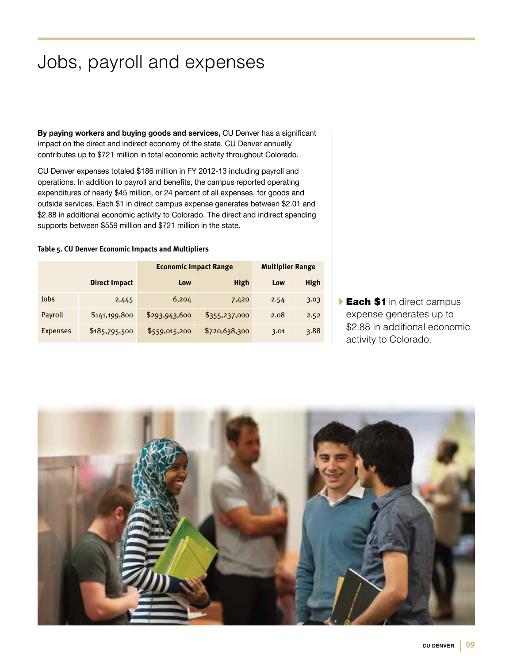## Jobs, payroll and expenses

**By paying workers and buying goods and services,** CU Denver has a significant impact on the direct and indirect economy of the state. CU Denver annually contributes up to \$721 million in total economic activity throughout Colorado.

CU Denver expenses totaled \$186 million in FY 2012-13 including payroll and operations. In addition to payroll and benefits, the campus reported operating expenditures of nearly \$45 million, or 24 percent of all expenses, for goods and outside services. Each \$1 in direct campus expense generates between \$2.01 and \$2.88 in additional economic activity to Colorado. The direct and indirect spending supports between \$559 million and \$721 million in the state.

#### **Table 5. CU Denver Economic Impacts and Multipliers**

|                 |                      | <b>Economic Impact Range</b> | <b>Multiplier Range</b> |      |      |
|-----------------|----------------------|------------------------------|-------------------------|------|------|
|                 | <b>Direct Impact</b> | Low                          | High                    | Low  | High |
| Jobs            | 2,445                | 6,204                        | 7,420                   | 2.54 | 3.03 |
| Payroll         | \$141,199,800        | \$293,943,600                | \$355,237,000           | 2.08 | 2.52 |
| <b>Expenses</b> | \$185,795,500        | \$559,015,200                | \$720,638,300           | 3.01 | 3.88 |

**Each \$1** in direct campus expense generates up to \$2.88 in additional economic activity to Colorado.

![](_page_8_Picture_6.jpeg)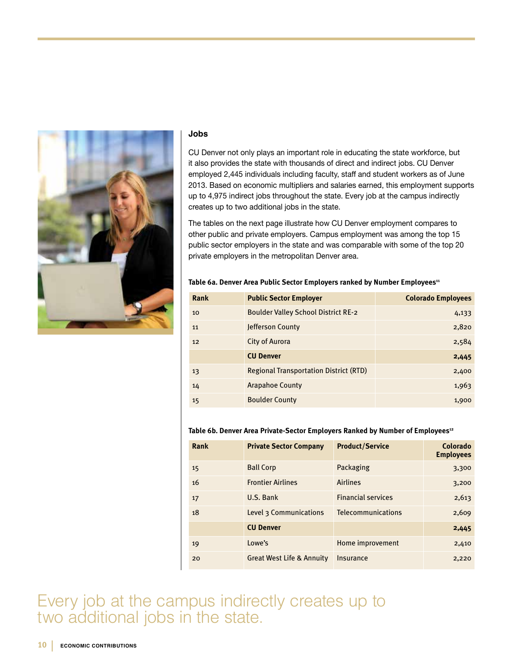![](_page_9_Picture_0.jpeg)

#### **Jobs**

CU Denver not only plays an important role in educating the state workforce, but it also provides the state with thousands of direct and indirect jobs. CU Denver employed 2,445 individuals including faculty, staff and student workers as of June 2013. Based on economic multipliers and salaries earned, this employment supports up to 4,975 indirect jobs throughout the state. Every job at the campus indirectly creates up to two additional jobs in the state.

The tables on the next page illustrate how CU Denver employment compares to other public and private employers. Campus employment was among the top 15 public sector employers in the state and was comparable with some of the top 20 private employers in the metropolitan Denver area.

#### Table 6a. Denver Area Public Sector Employers ranked by Number Employees<sup>11</sup>

| Rank | <b>Public Sector Employer</b>                 | <b>Colorado Employees</b> |
|------|-----------------------------------------------|---------------------------|
| 10   | <b>Boulder Valley School District RE-2</b>    | 4,133                     |
| 11   | Jefferson County                              | 2,820                     |
| 12   | City of Aurora                                | 2,584                     |
|      | <b>CU Denver</b>                              | 2,445                     |
| 13   | <b>Regional Transportation District (RTD)</b> | 2,400                     |
| 14   | <b>Arapahoe County</b>                        | 1,963                     |
| 15   | <b>Boulder County</b>                         | 1,900                     |

#### Table 6b. Denver Area Private-Sector Employers Ranked by Number of Employees<sup>12</sup>

| Rank | <b>Private Sector Company</b>        | <b>Product/Service</b>    | Colorado<br><b>Employees</b> |
|------|--------------------------------------|---------------------------|------------------------------|
| 15   | <b>Ball Corp</b>                     | Packaging                 | 3,300                        |
| 16   | <b>Frontier Airlines</b>             | <b>Airlines</b>           | 3,200                        |
| 17   | U.S. Bank                            | <b>Financial services</b> | 2,613                        |
| 18   | Level 3 Communications               | <b>Telecommunications</b> | 2,609                        |
|      | <b>CU Denver</b>                     |                           | 2,445                        |
| 19   | Lowe's                               | Home improvement          | 2,410                        |
| 20   | <b>Great West Life &amp; Annuity</b> | Insurance                 | 2,220                        |

Every job at the campus indirectly creates up to two additional jobs in the state.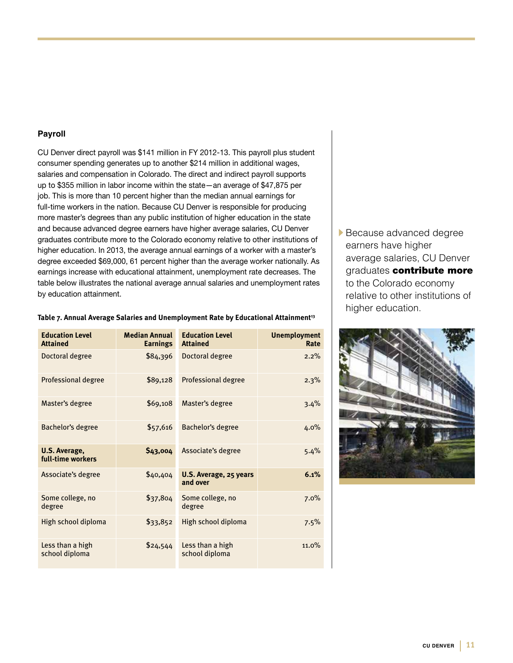#### **Payroll**

CU Denver direct payroll was \$141 million in FY 2012-13. This payroll plus student consumer spending generates up to another \$214 million in additional wages, salaries and compensation in Colorado. The direct and indirect payroll supports up to \$355 million in labor income within the state—an average of \$47,875 per job. This is more than 10 percent higher than the median annual earnings for full-time workers in the nation. Because CU Denver is responsible for producing more master's degrees than any public institution of higher education in the state and because advanced degree earners have higher average salaries, CU Denver graduates contribute more to the Colorado economy relative to other institutions of higher education. In 2013, the average annual earnings of a worker with a master's degree exceeded \$69,000, 61 percent higher than the average worker nationally. As earnings increase with educational attainment, unemployment rate decreases. The table below illustrates the national average annual salaries and unemployment rates by education attainment.

| <b>Education Level</b><br><b>Attained</b> | <b>Median Annual</b><br><b>Earnings</b> | <b>Education Level</b><br><b>Attained</b> | <b>Unemployment</b><br>Rate |
|-------------------------------------------|-----------------------------------------|-------------------------------------------|-----------------------------|
| Doctoral degree                           | \$84,396                                | Doctoral degree                           | 2.2%                        |
| <b>Professional degree</b>                | \$89,128                                | <b>Professional degree</b>                | 2.3%                        |
| Master's degree                           | \$69,108                                | Master's degree                           | 3.4%                        |
| Bachelor's degree                         | \$57,616                                | Bachelor's degree                         | 4.0%                        |
| U.S. Average,<br>full-time workers        | \$43,004                                | Associate's degree                        | 5.4%                        |
| Associate's degree                        | \$40,404                                | U.S. Average, 25 years<br>and over        | 6.1%                        |
| Some college, no<br>degree                | \$37,804                                | Some college, no<br>degree                | 7.0%                        |
| High school diploma                       | \$33,852                                | High school diploma                       | 7.5%                        |
| Less than a high<br>school diploma        | \$24,544                                | Less than a high<br>school diploma        | 11.0%                       |

#### Table 7. Annual Average Salaries and Unemployment Rate by Educational Attainment<sup>13</sup>

Because advanced degree earners have higher average salaries, CU Denver graduates contribute more to the Colorado economy relative to other institutions of higher education.

![](_page_10_Picture_5.jpeg)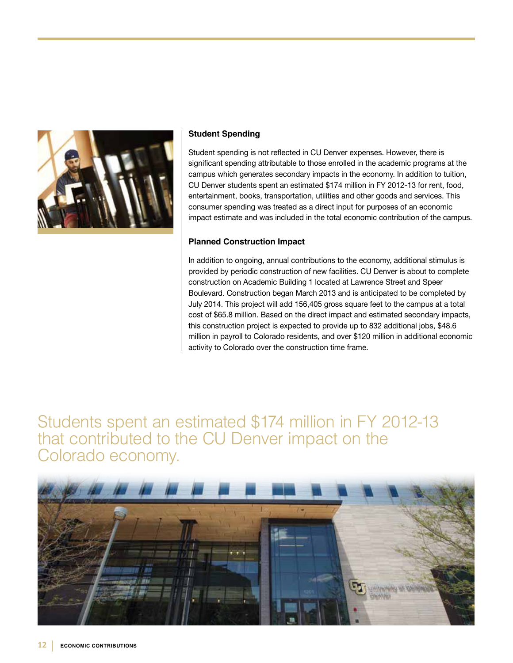![](_page_11_Picture_0.jpeg)

#### **Student Spending**

Student spending is not reflected in CU Denver expenses. However, there is significant spending attributable to those enrolled in the academic programs at the campus which generates secondary impacts in the economy. In addition to tuition, CU Denver students spent an estimated \$174 million in FY 2012-13 for rent, food, entertainment, books, transportation, utilities and other goods and services. This consumer spending was treated as a direct input for purposes of an economic impact estimate and was included in the total economic contribution of the campus.

#### **Planned Construction Impact**

In addition to ongoing, annual contributions to the economy, additional stimulus is provided by periodic construction of new facilities. CU Denver is about to complete construction on Academic Building 1 located at Lawrence Street and Speer Boulevard. Construction began March 2013 and is anticipated to be completed by July 2014. This project will add 156,405 gross square feet to the campus at a total cost of \$65.8 million. Based on the direct impact and estimated secondary impacts, this construction project is expected to provide up to 832 additional jobs, \$48.6 million in payroll to Colorado residents, and over \$120 million in additional economic activity to Colorado over the construction time frame.

Students spent an estimated \$174 million in FY 2012-13 that contributed to the CU Denver impact on the Colorado economy.

![](_page_11_Picture_6.jpeg)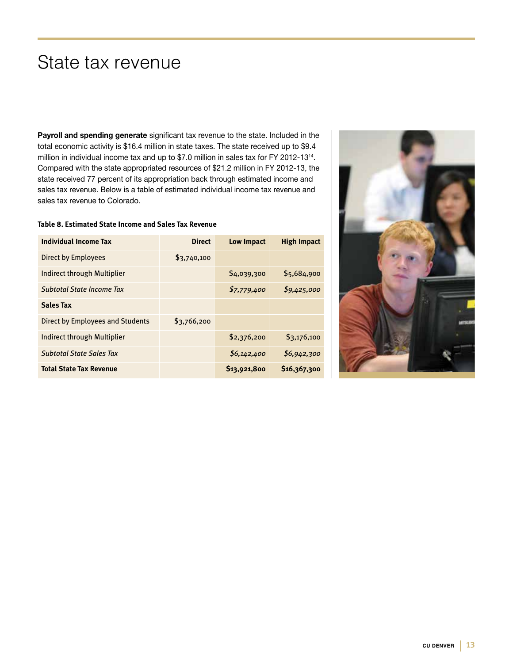## State tax revenue

**Payroll and spending generate** significant tax revenue to the state. Included in the total economic activity is \$16.4 million in state taxes. The state received up to \$9.4 million in individual income tax and up to \$7.0 million in sales tax for FY 2012-1314. Compared with the state appropriated resources of \$21.2 million in FY 2012-13, the state received 77 percent of its appropriation back through estimated income and sales tax revenue. Below is a table of estimated individual income tax revenue and sales tax revenue to Colorado.

#### **Table 8. Estimated State Income and Sales Tax Revenue**

| Individual Income Tax                   | <b>Direct</b> | <b>Low Impact</b>        | <b>High Impact</b> |
|-----------------------------------------|---------------|--------------------------|--------------------|
| Direct by Employees                     | \$3,740,100   |                          |                    |
| Indirect through Multiplier             |               | \$4,039,300              | \$5,684,900        |
| Subtotal State Income Tax               |               | \$7,779,400              | \$9,425,000        |
| <b>Sales Tax</b>                        |               |                          |                    |
| <b>Direct by Employees and Students</b> | \$3,766,200   |                          |                    |
| Indirect through Multiplier             |               | \$2,376,200              | \$3,176,100        |
| <b>Subtotal State Sales Tax</b>         |               | \$6,142,400              | \$6,942,300        |
| <b>Total State Tax Revenue</b>          |               | S <sub>13</sub> ,921,800 | \$16,367,300       |

![](_page_12_Picture_4.jpeg)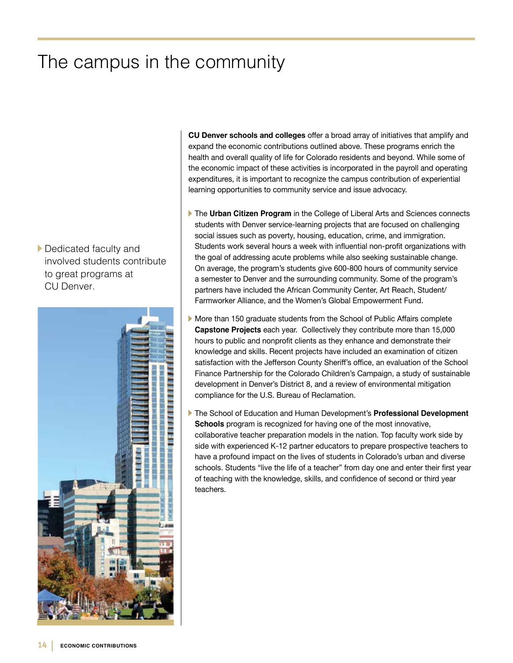## The campus in the community

Dedicated faculty and involved students contribute to great programs at CU Denver.

![](_page_13_Picture_2.jpeg)

**CU Denver schools and colleges** offer a broad array of initiatives that amplify and expand the economic contributions outlined above. These programs enrich the health and overall quality of life for Colorado residents and beyond. While some of the economic impact of these activities is incorporated in the payroll and operating expenditures, it is important to recognize the campus contribution of experiential learning opportunities to community service and issue advocacy.

- **The Urban Citizen Program** in the College of Liberal Arts and Sciences connects students with Denver service-learning projects that are focused on challenging social issues such as poverty, housing, education, crime, and immigration. Students work several hours a week with influential non-profit organizations with the goal of addressing acute problems while also seeking sustainable change. On average, the program's students give 600-800 hours of community service a semester to Denver and the surrounding community. Some of the program's partners have included the African Community Center, Art Reach, Student/ Farmworker Alliance, and the Women's Global Empowerment Fund.
- More than 150 graduate students from the School of Public Affairs complete **Capstone Projects** each year. Collectively they contribute more than 15,000 hours to public and nonprofit clients as they enhance and demonstrate their knowledge and skills. Recent projects have included an examination of citizen satisfaction with the Jefferson County Sheriff's office, an evaluation of the School Finance Partnership for the Colorado Children's Campaign, a study of sustainable development in Denver's District 8, and a review of environmental mitigation compliance for the U.S. Bureau of Reclamation.
- The School of Education and Human Development's **Professional Development Schools** program is recognized for having one of the most innovative, collaborative teacher preparation models in the nation. Top faculty work side by side with experienced K-12 partner educators to prepare prospective teachers to have a profound impact on the lives of students in Colorado's urban and diverse schools. Students "live the life of a teacher" from day one and enter their first year of teaching with the knowledge, skills, and confidence of second or third year teachers.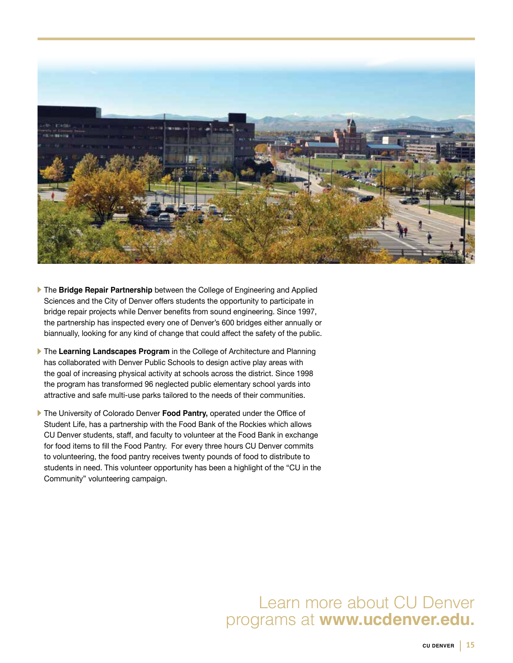![](_page_14_Picture_0.jpeg)

- **The Bridge Repair Partnership** between the College of Engineering and Applied Sciences and the City of Denver offers students the opportunity to participate in bridge repair projects while Denver benefits from sound engineering. Since 1997, the partnership has inspected every one of Denver's 600 bridges either annually or biannually, looking for any kind of change that could affect the safety of the public.
- **The Learning Landscapes Program** in the College of Architecture and Planning has collaborated with Denver Public Schools to design active play areas with the goal of increasing physical activity at schools across the district. Since 1998 the program has transformed 96 neglected public elementary school yards into attractive and safe multi-use parks tailored to the needs of their communities.
- The University of Colorado Denver **Food Pantry,** operated under the Office of Student Life, has a partnership with the Food Bank of the Rockies which allows CU Denver students, staff, and faculty to volunteer at the Food Bank in exchange for food items to fill the Food Pantry. For every three hours CU Denver commits to volunteering, the food pantry receives twenty pounds of food to distribute to students in need. This volunteer opportunity has been a highlight of the "CU in the Community" volunteering campaign.

### Learn more about CU Denver programs at **www.ucdenver.edu.**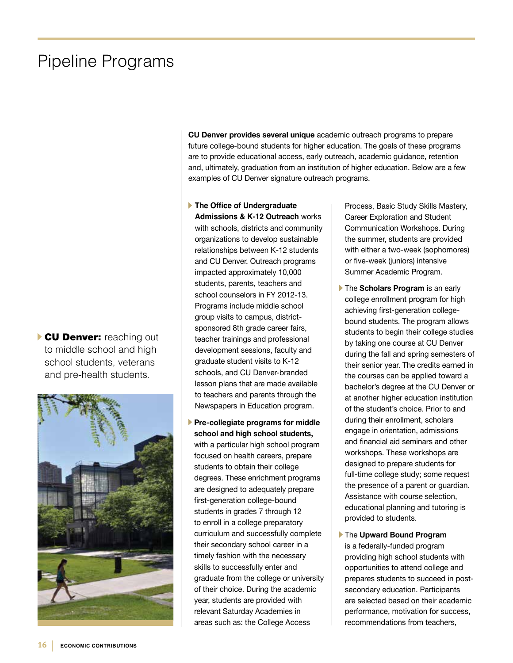## Pipeline Programs

CU Denver: reaching out to middle school and high school students, veterans and pre-health students.

![](_page_15_Picture_2.jpeg)

**CU Denver provides several unique** academic outreach programs to prepare future college-bound students for higher education. The goals of these programs are to provide educational access, early outreach, academic guidance, retention and, ultimately, graduation from an institution of higher education. Below are a few examples of CU Denver signature outreach programs.

**The Office of Undergraduate Admissions & K-12 Outreach** works with schools, districts and community organizations to develop sustainable relationships between K-12 students and CU Denver. Outreach programs impacted approximately 10,000 students, parents, teachers and school counselors in FY 2012-13. Programs include middle school group visits to campus, districtsponsored 8th grade career fairs, teacher trainings and professional development sessions, faculty and graduate student visits to K-12 schools, and CU Denver-branded lesson plans that are made available to teachers and parents through the Newspapers in Education program.

**Pre-collegiate programs for middle school and high school students,**  with a particular high school program focused on health careers, prepare students to obtain their college degrees. These enrichment programs are designed to adequately prepare first-generation college-bound students in grades 7 through 12 to enroll in a college preparatory curriculum and successfully complete their secondary school career in a timely fashion with the necessary skills to successfully enter and graduate from the college or university of their choice. During the academic year, students are provided with relevant Saturday Academies in areas such as: the College Access

Process, Basic Study Skills Mastery, Career Exploration and Student Communication Workshops. During the summer, students are provided with either a two-week (sophomores) or five-week (juniors) intensive Summer Academic Program.

**The Scholars Program** is an early college enrollment program for high achieving first-generation collegebound students. The program allows students to begin their college studies by taking one course at CU Denver during the fall and spring semesters of their senior year. The credits earned in the courses can be applied toward a bachelor's degree at the CU Denver or at another higher education institution of the student's choice. Prior to and during their enrollment, scholars engage in orientation, admissions and financial aid seminars and other workshops. These workshops are designed to prepare students for full-time college study; some request the presence of a parent or guardian. Assistance with course selection, educational planning and tutoring is provided to students.

The **Upward Bound Program**  is a federally-funded program providing high school students with opportunities to attend college and prepares students to succeed in postsecondary education. Participants are selected based on their academic performance, motivation for success, recommendations from teachers,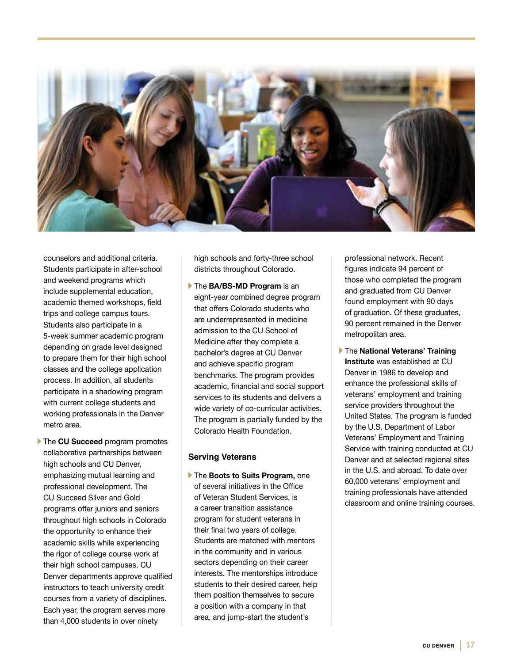![](_page_16_Picture_0.jpeg)

counselors and additional criteria. Students participate in after-school and weekend programs which include supplemental education, academic themed workshops, field trips and college campus tours. Students also participate in a 5-week summer academic program depending on grade level designed to prepare them for their high school classes and the college application process. In addition, all students participate in a shadowing program with current college students and working professionals in the Denver metro area.

**The CU Succeed program promotes** collaborative partnerships between high schools and CU Denver, emphasizing mutual learning and professional development. The CU Succeed Silver and Gold programs offer juniors and seniors throughout high schools in Colorado the opportunity to enhance their academic skills while experiencing the rigor of college course work at their high school campuses. CU Denver departments approve qualified instructors to teach university credit courses from a variety of disciplines. Each year, the program serves more than 4,000 students in over ninety

high schools and forty-three school districts throughout Colorado.

The **BA/BS-MD Program** is an eight-year combined degree program that offers Colorado students who are underrepresented in medicine admission to the CU School of Medicine after they complete a bachelor's degree at CU Denver and achieve specific program benchmarks. The program provides academic, financial and social support services to its students and delivers a wide variety of co-curricular activities. The program is partially funded by the Colorado Health Foundation.

#### **Serving Veterans**

The **Boots to Suits Program,** one of several initiatives in the Office of Veteran Student Services, is a career transition assistance program for student veterans in their final two years of college. Students are matched with mentors in the community and in various sectors depending on their career interests. The mentorships introduce students to their desired career, help them position themselves to secure a position with a company in that area, and jump-start the student's

professional network. Recent figures indicate 94 percent of those who completed the program and graduated from CU Denver found employment with 90 days of graduation. Of these graduates, 90 percent remained in the Denver metropolitan area.

The **National Veterans' Training Institute** was established at CU Denver in 1986 to develop and enhance the professional skills of veterans' employment and training service providers throughout the United States. The program is funded by the U.S. Department of Labor Veterans' Employment and Training Service with training conducted at CU Denver and at selected regional sites in the U.S. and abroad. To date over 60,000 veterans' employment and training professionals have attended classroom and online training courses.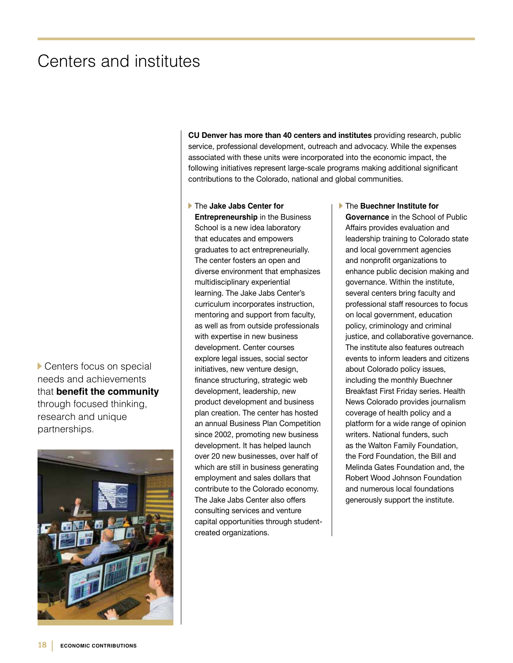## Centers and institutes

Centers focus on special needs and achievements that **benefit the community** through focused thinking, research and unique partnerships.

![](_page_17_Picture_2.jpeg)

**CU Denver has more than 40 centers and institutes** providing research, public service, professional development, outreach and advocacy. While the expenses associated with these units were incorporated into the economic impact, the following initiatives represent large-scale programs making additional significant contributions to the Colorado, national and global communities.

The **Jake Jabs Center for Entrepreneurship** in the Business School is a new idea laboratory that educates and empowers graduates to act entrepreneurially. The center fosters an open and diverse environment that emphasizes multidisciplinary experiential learning. The Jake Jabs Center's curriculum incorporates instruction, mentoring and support from faculty, as well as from outside professionals with expertise in new business development. Center courses explore legal issues, social sector initiatives, new venture design, finance structuring, strategic web development, leadership, new product development and business plan creation. The center has hosted an annual Business Plan Competition since 2002, promoting new business development. It has helped launch over 20 new businesses, over half of which are still in business generating employment and sales dollars that contribute to the Colorado economy. The Jake Jabs Center also offers consulting services and venture capital opportunities through studentcreated organizations.

The **Buechner Institute for Governance** in the School of Public Affairs provides evaluation and leadership training to Colorado state and local government agencies and nonprofit organizations to enhance public decision making and governance. Within the institute, several centers bring faculty and professional staff resources to focus on local government, education policy, criminology and criminal justice, and collaborative governance. The institute also features outreach events to inform leaders and citizens about Colorado policy issues, including the monthly Buechner Breakfast First Friday series. Health News Colorado provides journalism coverage of health policy and a platform for a wide range of opinion writers. National funders, such as the Walton Family Foundation, the Ford Foundation, the Bill and Melinda Gates Foundation and, the Robert Wood Johnson Foundation and numerous local foundations generously support the institute.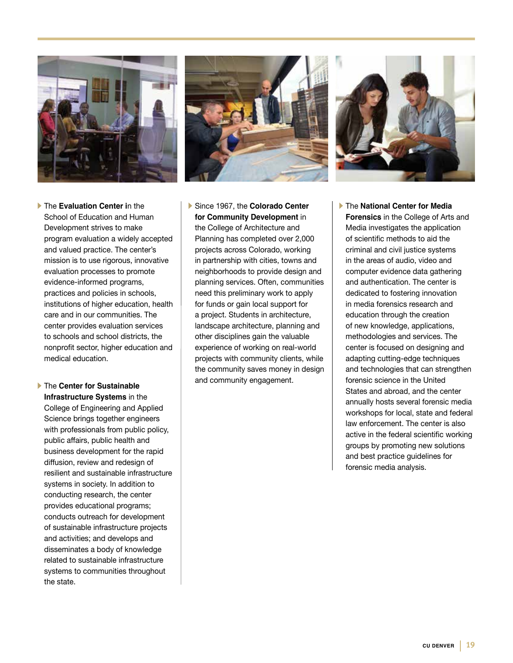![](_page_18_Picture_0.jpeg)

![](_page_18_Picture_1.jpeg)

![](_page_18_Picture_2.jpeg)

The **Evaluation Center i**n the School of Education and Human Development strives to make program evaluation a widely accepted and valued practice. The center's mission is to use rigorous, innovative evaluation processes to promote evidence-informed programs, practices and policies in schools, institutions of higher education, health care and in our communities. The center provides evaluation services to schools and school districts, the nonprofit sector, higher education and medical education.

The **Center for Sustainable Infrastructure Systems** in the College of Engineering and Applied Science brings together engineers with professionals from public policy, public affairs, public health and business development for the rapid diffusion, review and redesign of resilient and sustainable infrastructure systems in society. In addition to conducting research, the center provides educational programs; conducts outreach for development of sustainable infrastructure projects and activities; and develops and disseminates a body of knowledge related to sustainable infrastructure systems to communities throughout the state.

- Since 1967, the **Colorado Center for Community Development** in the College of Architecture and Planning has completed over 2,000 projects across Colorado, working in partnership with cities, towns and neighborhoods to provide design and planning services. Often, communities need this preliminary work to apply for funds or gain local support for a project. Students in architecture, landscape architecture, planning and other disciplines gain the valuable experience of working on real-world projects with community clients, while the community saves money in design and community engagement.
- The **National Center for Media Forensics** in the College of Arts and Media investigates the application of scientific methods to aid the criminal and civil justice systems in the areas of audio, video and computer evidence data gathering and authentication. The center is dedicated to fostering innovation in media forensics research and education through the creation of new knowledge, applications, methodologies and services. The center is focused on designing and adapting cutting-edge techniques and technologies that can strengthen forensic science in the United States and abroad, and the center annually hosts several forensic media workshops for local, state and federal law enforcement. The center is also active in the federal scientific working groups by promoting new solutions and best practice guidelines for forensic media analysis.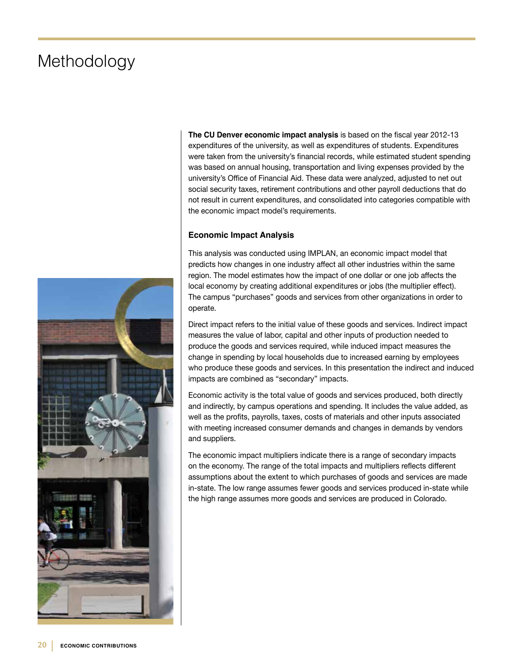## Methodology

![](_page_19_Picture_1.jpeg)

**The CU Denver economic impact analysis** is based on the fiscal year 2012-13 expenditures of the university, as well as expenditures of students. Expenditures were taken from the university's financial records, while estimated student spending was based on annual housing, transportation and living expenses provided by the university's Office of Financial Aid. These data were analyzed, adjusted to net out social security taxes, retirement contributions and other payroll deductions that do not result in current expenditures, and consolidated into categories compatible with the economic impact model's requirements.

#### **Economic Impact Analysis**

This analysis was conducted using IMPLAN, an economic impact model that predicts how changes in one industry affect all other industries within the same region. The model estimates how the impact of one dollar or one job affects the local economy by creating additional expenditures or jobs (the multiplier effect). The campus "purchases" goods and services from other organizations in order to operate.

Direct impact refers to the initial value of these goods and services. Indirect impact measures the value of labor, capital and other inputs of production needed to produce the goods and services required, while induced impact measures the change in spending by local households due to increased earning by employees who produce these goods and services. In this presentation the indirect and induced impacts are combined as "secondary" impacts.

Economic activity is the total value of goods and services produced, both directly and indirectly, by campus operations and spending. It includes the value added, as well as the profits, payrolls, taxes, costs of materials and other inputs associated with meeting increased consumer demands and changes in demands by vendors and suppliers.

The economic impact multipliers indicate there is a range of secondary impacts on the economy. The range of the total impacts and multipliers reflects different assumptions about the extent to which purchases of goods and services are made in-state. The low range assumes fewer goods and services produced in-state while the high range assumes more goods and services are produced in Colorado.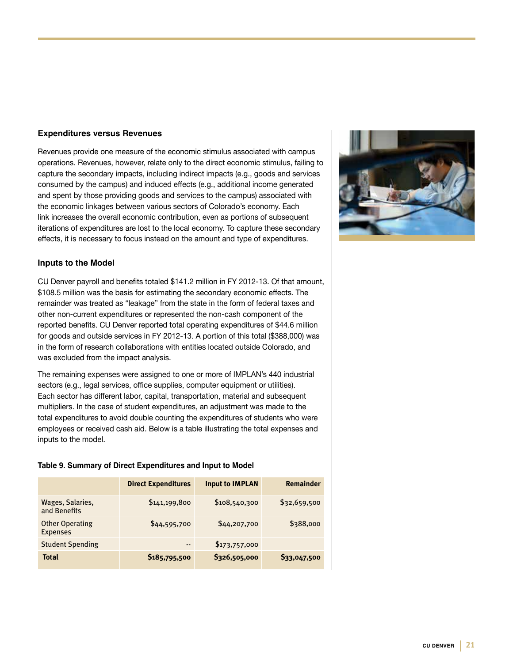#### **Expenditures versus Revenues**

Revenues provide one measure of the economic stimulus associated with campus operations. Revenues, however, relate only to the direct economic stimulus, failing to capture the secondary impacts, including indirect impacts (e.g., goods and services consumed by the campus) and induced effects (e.g., additional income generated and spent by those providing goods and services to the campus) associated with the economic linkages between various sectors of Colorado's economy. Each link increases the overall economic contribution, even as portions of subsequent iterations of expenditures are lost to the local economy. To capture these secondary effects, it is necessary to focus instead on the amount and type of expenditures.

#### **Inputs to the Model**

CU Denver payroll and benefits totaled \$141.2 million in FY 2012-13. Of that amount, \$108.5 million was the basis for estimating the secondary economic effects. The remainder was treated as "leakage" from the state in the form of federal taxes and other non-current expenditures or represented the non-cash component of the reported benefits. CU Denver reported total operating expenditures of \$44.6 million for goods and outside services in FY 2012-13. A portion of this total (\$388,000) was in the form of research collaborations with entities located outside Colorado, and was excluded from the impact analysis.

The remaining expenses were assigned to one or more of IMPLAN's 440 industrial sectors (e.g., legal services, office supplies, computer equipment or utilities). Each sector has different labor, capital, transportation, material and subsequent multipliers. In the case of student expenditures, an adjustment was made to the total expenditures to avoid double counting the expenditures of students who were employees or received cash aid. Below is a table illustrating the total expenses and inputs to the model.

#### **Table 9. Summary of Direct Expenditures and Input to Model**

|                                           | <b>Direct Expenditures</b> | <b>Input to IMPLAN</b> | Remainder    |
|-------------------------------------------|----------------------------|------------------------|--------------|
| Wages, Salaries,<br>and Benefits          | \$141,199,800              | \$108,540,300          | \$32,659,500 |
| <b>Other Operating</b><br><b>Expenses</b> | \$44,595,700               | \$44,207,700           | \$388,000    |
| <b>Student Spending</b>                   | $\cdots$                   | \$173,757,000          |              |
| <b>Total</b>                              | \$185,795,500              | \$326,505,000          | \$33,047,500 |

![](_page_20_Picture_7.jpeg)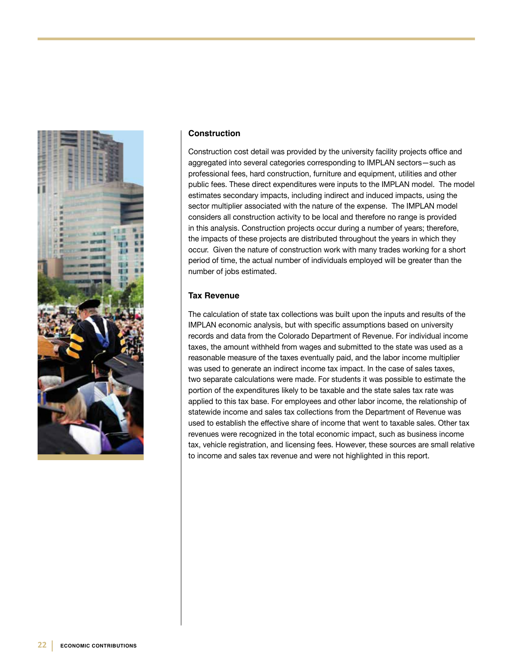![](_page_21_Picture_0.jpeg)

#### **Construction**

Construction cost detail was provided by the university facility projects office and aggregated into several categories corresponding to IMPLAN sectors—such as professional fees, hard construction, furniture and equipment, utilities and other public fees. These direct expenditures were inputs to the IMPLAN model. The model estimates secondary impacts, including indirect and induced impacts, using the sector multiplier associated with the nature of the expense. The IMPLAN model considers all construction activity to be local and therefore no range is provided in this analysis. Construction projects occur during a number of years; therefore, the impacts of these projects are distributed throughout the years in which they occur. Given the nature of construction work with many trades working for a short period of time, the actual number of individuals employed will be greater than the number of jobs estimated.

#### **Tax Revenue**

The calculation of state tax collections was built upon the inputs and results of the IMPLAN economic analysis, but with specific assumptions based on university records and data from the Colorado Department of Revenue. For individual income taxes, the amount withheld from wages and submitted to the state was used as a reasonable measure of the taxes eventually paid, and the labor income multiplier was used to generate an indirect income tax impact. In the case of sales taxes, two separate calculations were made. For students it was possible to estimate the portion of the expenditures likely to be taxable and the state sales tax rate was applied to this tax base. For employees and other labor income, the relationship of statewide income and sales tax collections from the Department of Revenue was used to establish the effective share of income that went to taxable sales. Other tax revenues were recognized in the total economic impact, such as business income tax, vehicle registration, and licensing fees. However, these sources are small relative to income and sales tax revenue and were not highlighted in this report.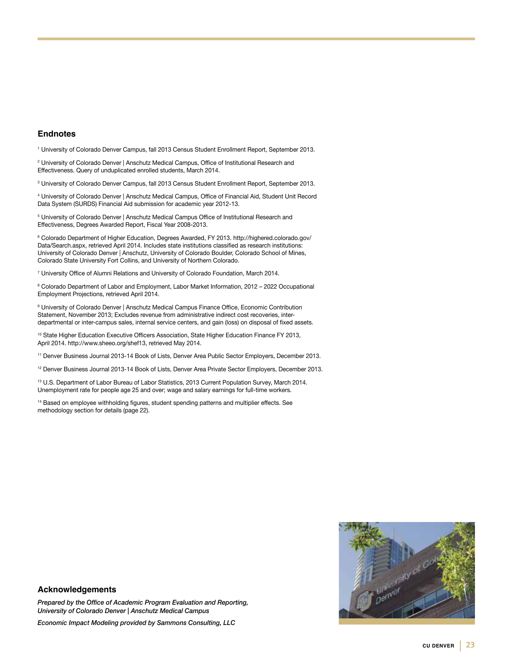#### **Endnotes**

1 University of Colorado Denver Campus, fall 2013 Census Student Enrollment Report, September 2013.

2 University of Colorado Denver | Anschutz Medical Campus, Office of Institutional Research and Effectiveness. Query of unduplicated enrolled students, March 2014.

3 University of Colorado Denver Campus, fall 2013 Census Student Enrollment Report, September 2013.

4 University of Colorado Denver | Anschutz Medical Campus, Office of Financial Aid, Student Unit Record Data System (SURDS) Financial Aid submission for academic year 2012-13.

 $^{\rm 5}$  University of Colorado Denver | Anschutz Medical Campus Office of Institutional Research and Effectiveness, Degrees Awarded Report, Fiscal Year 2008-2013.

6 Colorado Department of Higher Education, Degrees Awarded, FY 2013. http://highered.colorado.gov/ Data/Search.aspx, retrieved April 2014. Includes state institutions classified as research institutions: University of Colorado Denver | Anschutz, University of Colorado Boulder, Colorado School of Mines, Colorado State University Fort Collins, and University of Northern Colorado.

7 University Office of Alumni Relations and University of Colorado Foundation, March 2014.

8 Colorado Department of Labor and Employment, Labor Market Information, 2012 – 2022 Occupational Employment Projections, retrieved April 2014.

9 University of Colorado Denver | Anschutz Medical Campus Finance Office, Economic Contribution Statement, November 2013; Excludes revenue from administrative indirect cost recoveries, interdepartmental or inter-campus sales, internal service centers, and gain (loss) on disposal of fixed assets.

10 State Higher Education Executive Officers Association, State Higher Education Finance FY 2013, April 2014. http://www.sheeo.org/shef13, retrieved May 2014.

<sup>11</sup> Denver Business Journal 2013-14 Book of Lists, Denver Area Public Sector Employers, December 2013.

<sup>12</sup> Denver Business Journal 2013-14 Book of Lists, Denver Area Private Sector Employers, December 2013.

<sup>13</sup> U.S. Department of Labor Bureau of Labor Statistics, 2013 Current Population Survey, March 2014. Unemployment rate for people age 25 and over; wage and salary earnings for full-time workers.

<sup>14</sup> Based on employee withholding figures, student spending patterns and multiplier effects. See methodology section for details (page 22).

![](_page_22_Picture_15.jpeg)

#### **Acknowledgements**

*Prepared by the Office of Academic Program Evaluation and Reporting, University of Colorado Denver | Anschutz Medical Campus*

*Economic Impact Modeling provided by Sammons Consulting, LLC*